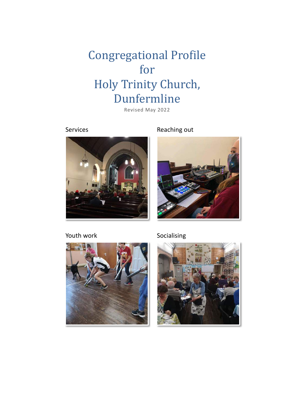# **Congregational Profile** for Holy Trinity Church, Dunfermline

Revised May 2022



Services Reaching out



Youth work Socialising



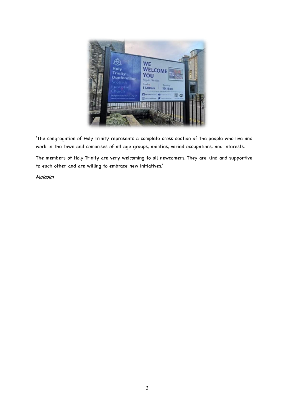

'The congregation of Holy Trinity represents a complete cross-section of the people who live and work in the town and comprises of all age groups, abilities, varied occupations, and interests.

The members of Holy Trinity are very welcoming to all newcomers. They are kind and supportive to each other and are willing to embrace new initiatives.'

Malcolm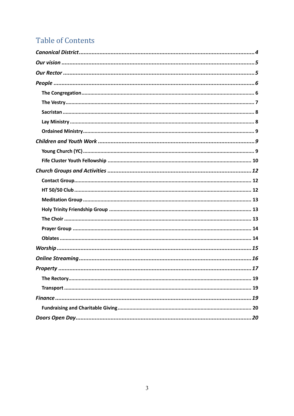# **Table of Contents**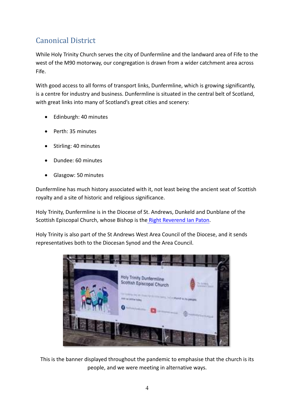# Canonical District

While Holy Trinity Church serves the city of Dunfermline and the landward area of Fife to the west of the M90 motorway, our congregation is drawn from a wider catchment area across Fife.

With good access to all forms of transport links, Dunfermline, which is growing significantly, is a centre for industry and business. Dunfermline is situated in the central belt of Scotland, with great links into many of Scotland's great cities and scenery:

- Edinburgh: 40 minutes
- Perth: 35 minutes
- Stirling: 40 minutes
- Dundee: 60 minutes
- Glasgow: 50 minutes

Dunfermline has much history associated with it, not least being the ancient seat of Scottish royalty and a site of historic and religious significance.

Holy Trinity, Dunfermline is in the Diocese of St. Andrews, Dunkeld and Dunblane of the Scottish Episcopal Church, whose Bishop is the Right Reverend Ian Paton.

Holy Trinity is also part of the St Andrews West Area Council of the Diocese, and it sends representatives both to the Diocesan Synod and the Area Council.



This is the banner displayed throughout the pandemic to emphasise that the church is its people, and we were meeting in alternative ways.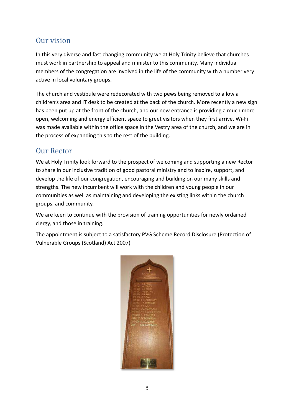# Our vision

In this very diverse and fast changing community we at Holy Trinity believe that churches must work in partnership to appeal and minister to this community. Many individual members of the congregation are involved in the life of the community with a number very active in local voluntary groups.

The church and vestibule were redecorated with two pews being removed to allow a children's area and IT desk to be created at the back of the church. More recently a new sign has been put up at the front of the church, and our new entrance is providing a much more open, welcoming and energy efficient space to greet visitors when they first arrive. Wi-Fi was made available within the office space in the Vestry area of the church, and we are in the process of expanding this to the rest of the building.

# **Our Rector**

We at Holy Trinity look forward to the prospect of welcoming and supporting a new Rector to share in our inclusive tradition of good pastoral ministry and to inspire, support, and develop the life of our congregation, encouraging and building on our many skills and strengths. The new incumbent will work with the children and young people in our communities as well as maintaining and developing the existing links within the church groups, and community.

We are keen to continue with the provision of training opportunities for newly ordained clergy, and those in training.

The appointment is subject to a satisfactory PVG Scheme Record Disclosure (Protection of Vulnerable Groups (Scotland) Act 2007)

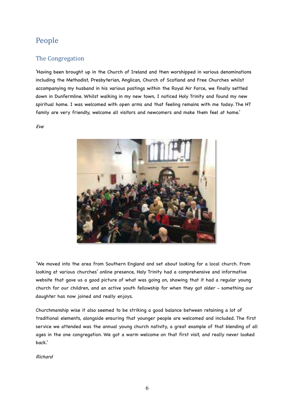# People

### The Congregation

'Having been brought up in the Church of Ireland and then worshipped in various denominations including the Methodist, Presbyterian, Anglican, Church of Scotland and Free Churches whilst accompanying my husband in his various postings within the Royal Air Force, we finally settled down in Dunfermline. Whilst walking in my new town, I noticed Holy Trinity and found my new spiritual home. I was welcomed with open arms and that feeling remains with me today. The HT family are very friendly, welcome all visitors and newcomers and make them feel at home.'

Eve



'We moved into the area from Southern England and set about looking for a local church. From looking at various churches' online presence, Holy Trinity had a comprehensive and informative website that gave us a good picture of what was going on, showing that it had a regular young church for our children, and an active youth fellowship for when they got older - something our daughter has now joined and really enjoys.

Churchmanship wise it also seemed to be striking a good balance between retaining a lot of traditional elements, alongside ensuring that younger people are welcomed and included. The first service we attended was the annual young church nativity, a great example of that blending of all ages in the one congregation. We got a warm welcome on that first visit, and really never looked back.'

Richard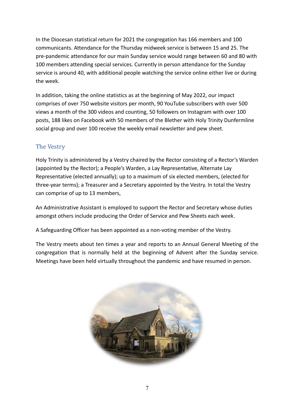In the Diocesan statistical return for 2021 the congregation has 166 members and 100 communicants. Attendance for the Thursday midweek service is between 15 and 25. The pre-pandemic attendance for our main Sunday service would range between 60 and 80 with 100 members attending special services. Currently in person attendance for the Sunday service is around 40, with additional people watching the service online either live or during the week.

In addition, taking the online statistics as at the beginning of May 2022, our impact comprises of over 750 website visitors per month, 90 YouTube subscribers with over 500 views a month of the 300 videos and counting, 50 followers on Instagram with over 100 posts, 188 likes on Facebook with 50 members of the Blether with Holy Trinity Dunfermline social group and over 100 receive the weekly email newsletter and pew sheet.

# The Vestry

Holy Trinity is administered by a Vestry chaired by the Rector consisting of a Rector's Warden (appointed by the Rector); a People's Warden, a Lay Representative, Alternate Lay Representative (elected annually); up to a maximum of six elected members, (elected for three-year terms); a Treasurer and a Secretary appointed by the Vestry. In total the Vestry can comprise of up to 13 members,

An Administrative Assistant is employed to support the Rector and Secretary whose duties amongst others include producing the Order of Service and Pew Sheets each week.

A Safeguarding Officer has been appointed as a non-voting member of the Vestry.

The Vestry meets about ten times a year and reports to an Annual General Meeting of the congregation that is normally held at the beginning of Advent after the Sunday service. Meetings have been held virtually throughout the pandemic and have resumed in person.

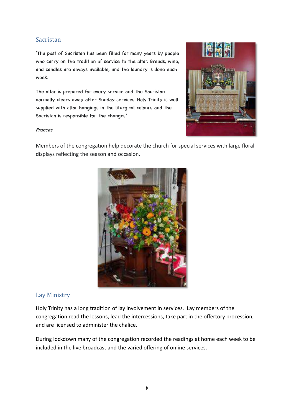### Sacristan

'The post of Sacristan has been filled for many years by people who carry on the tradition of service to the altar. Breads, wine, and candles are always available, and the laundry is done each week.

The altar is prepared for every service and the Sacristan normally clears away after Sunday services. Holy Trinity is well supplied with altar hangings in the liturgical colours and the Sacristan is responsible for the changes.'



#### Frances

Members of the congregation help decorate the church for special services with large floral displays reflecting the season and occasion.



### Lay Ministry

Holy Trinity has a long tradition of lay involvement in services. Lay members of the congregation read the lessons, lead the intercessions, take part in the offertory procession, and are licensed to administer the chalice.

During lockdown many of the congregation recorded the readings at home each week to be included in the live broadcast and the varied offering of online services.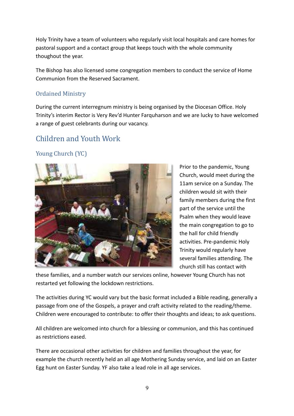Holy Trinity have a team of volunteers who regularly visit local hospitals and care homes for pastoral support and a contact group that keeps touch with the whole community thoughout the year.

The Bishop has also licensed some congregation members to conduct the service of Home Communion from the Reserved Sacrament.

## **Ordained Ministry**

During the current interregnum ministry is being organised by the Diocesan Office. Holy Trinity's interim Rector is Very Rev'd Hunter Farquharson and we are lucky to have welcomed a range of guest celebrants during our vacancy.

# Children and Youth Work

# Young Church (YC)



Prior to the pandemic, Young Church, would meet during the 11am service on a Sunday. The children would sit with their family members during the first part of the service until the Psalm when they would leave the main congregation to go to the hall for child friendly activities. Pre-pandemic Holy Trinity would regularly have several families attending. The church still has contact with

these families, and a number watch our services online, however Young Church has not restarted yet following the lockdown restrictions.

The activities during YC would vary but the basic format included a Bible reading, generally a passage from one of the Gospels, a prayer and craft activity related to the reading/theme. Children were encouraged to contribute: to offer their thoughts and ideas; to ask questions.

All children are welcomed into church for a blessing or communion, and this has continued as restrictions eased.

There are occasional other activities for children and families throughout the year, for example the church recently held an all age Mothering Sunday service, and laid on an Easter Egg hunt on Easter Sunday. YF also take a lead role in all age services.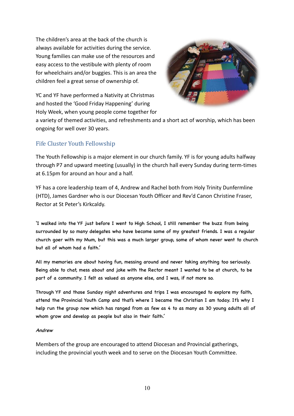The children's area at the back of the church is always available for activities during the service. Young families can make use of the resources and easy access to the vestibule with plenty of room for wheelchairs and/or buggies. This is an area the children feel a great sense of ownership of.



YC and YF have performed a Nativity at Christmas and hosted the 'Good Friday Happening' during Holy Week, when young people come together for

a variety of themed activities, and refreshments and a short act of worship, which has been ongoing for well over 30 years.

# Fife Cluster Youth Fellowship

The Youth Fellowship is a major element in our church family. YF is for young adults halfway through P7 and upward meeting (usually) in the church hall every Sunday during term-times at 6.15pm for around an hour and a half.

YF has a core leadership team of 4, Andrew and Rachel both from Holy Trinity Dunfermline (HTD), James Gardner who is our Diocesan Youth Officer and Rev'd Canon Christine Fraser, Rector at St Peter's Kirkcaldy.

'I walked into the YF just before I went to High School, I still remember the buzz from being surrounded by so many delegates who have become some of my greatest friends. I was a regular church goer with my Mum, but this was a much larger group, some of whom never went to church but all of whom had a faith.'

All my memories are about having fun, messing around and never taking anything too seriously. Being able to chat, mess about and joke with the Rector meant I wanted to be at church, to be part of a community. I felt as valued as anyone else, and I was, if not more so.

Through YF and those Sunday night adventures and trips I was encouraged to explore my faith, attend the Provincial Youth Camp and that's where I became the Christian I am today. It's why I help run the group now which has ranged from as few as 4 to as many as 30 young adults all of whom grow and develop as people but also in their faith.'

#### Andrew

Members of the group are encouraged to attend Diocesan and Provincial gatherings, including the provincial youth week and to serve on the Diocesan Youth Committee.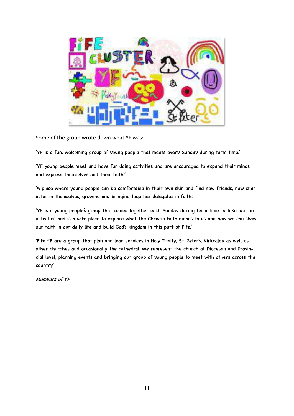Some of the group wrote down what YF was:

'YF is a fun, welcoming group of young people that meets every Sunday during term time.'

'YF young people meet and have fun doing activities and are encouraged to expand their minds and express themselves and their faith.'

'A place where young people can be comfortable in their own skin and find new friends, new character in themselves, growing and bringing together delegates in faith.'

'YF is a young people's group that comes together each Sunday during term time to take part in activities and is a safe place to explore what the Christin faith means to us and how we can show our faith in our daily life and build God's kingdom in this part of Fife.'

'Fife YF are a group that plan and lead services in Holy Trinity, St. Peter's, Kirkcaldy as well as other churches and occasionally the cathedral. We represent the church at Diocesan and Provincial level, planning events and bringing our group of young people to meet with others across the country.'

Members of YF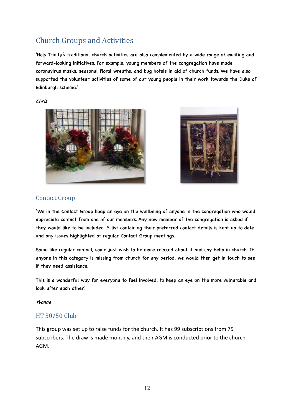# Church Groups and Activities

'Holy Trinity's traditional church activities are also complemented by a wide range of exciting and forward-looking initiatives. For example, young members of the congregation have made coronavirus masks, seasonal floral wreaths, and bug hotels in aid of church funds. We have also supported the volunteer activities of some of our young people in their work towards the Duke of Edinburgh scheme.'

Chris





### **Contact Group**

'We in the Contact Group keep an eye on the wellbeing of anyone in the congregation who would appreciate contact from one of our members. Any new member of the congregation is asked if they would like to be included. A list containing their preferred contact details is kept up to date and any issues highlighted at regular Contact Group meetings.

Some like regular contact, some just wish to be more relaxed about it and say hello in church. If anyone in this category is missing from church for any period, we would then get in touch to see if they need assistance.

This is a wonderful way for everyone to feel involved, to keep an eye on the more vulnerable and look after each other.'

Yvonne

### **HT 50/50 Club**

This group was set up to raise funds for the church. It has 99 subscriptions from 75 subscribers. The draw is made monthly, and their AGM is conducted prior to the church AGM.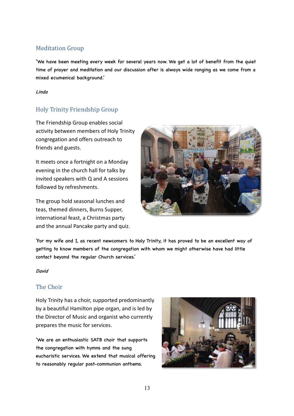# **Meditation Group**

'We have been meeting every week for several years now. We get a lot of benefit from the quiet time of prayer and meditation and our discussion after is always wide ranging as we come from a mixed ecumenical background.'

#### Linda

# Holy Trinity Friendship Group

The Friendship Group enables social activity between members of Holy Trinity congregation and offers outreach to friends and guests.

It meets once a fortnight on a Monday evening in the church hall for talks by invited speakers with Q and A sessions followed by refreshments.

The group hold seasonal lunches and teas, themed dinners, Burns Supper, international feast, a Christmas party and the annual Pancake party and quiz.



'For my wife and I, as recent newcomers to Holy Trinity, it has proved to be an excellent way of getting to know members of the congregation with whom we might otherwise have had little contact beyond the regular Church services.'

#### David

### The Choir

Holy Trinity has a choir, supported predominantly by a beautiful Hamilton pipe organ, and is led by the Director of Music and organist who currently prepares the music for services.

'We are an enthusiastic SATB choir that supports the congregation with hymns and the sung eucharistic services. We extend that musical offering to reasonably regular post-communion anthems.

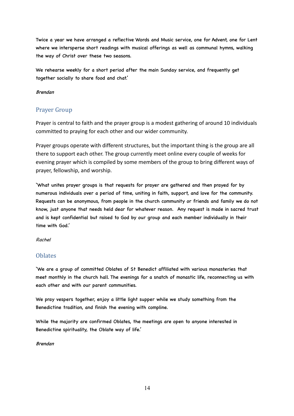Twice a year we have arranged a reflective Words and Music service, one for Advent, one for Lent where we intersperse short readings with musical offerings as well as communal hymns, walking the way of Christ over these two seasons.

We rehearse weekly for a short period after the main Sunday service, and frequently get together socially to share food and chat.'

#### Brendan

### Prayer Group

Prayer is central to faith and the prayer group is a modest gathering of around 10 individuals committed to praying for each other and our wider community.

Prayer groups operate with different structures, but the important thing is the group are all there to support each other. The group currently meet online every couple of weeks for evening prayer which is compiled by some members of the group to bring different ways of prayer, fellowship, and worship.

'What unites prayer groups is that requests for prayer are gathered and then prayed for by numerous individuals over a period of time, uniting in faith, support, and love for the community. Requests can be anonymous, from people in the church community or friends and family we do not know, just anyone that needs held dear for whatever reason. Any request is made in sacred trust and is kept confidential but raised to God by our group and each member individually in their time with God.'

#### Rachel

### **Oblates**

'We are a group of committed Oblates of St Benedict affiliated with various monasteries that meet monthly in the church hall. The evenings for a snatch of monastic life, reconnecting us with each other and with our parent communities.

We pray vespers together, enjoy a little light supper while we study something from the Benedictine tradition, and finish the evening with compline.

While the majority are confirmed Oblates, the meetings are open to anyone interested in Benedictine spirituality, the Oblate way of life.'

#### Brendan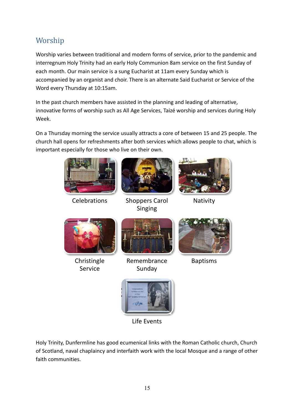# Worship

Worship varies between traditional and modern forms of service, prior to the pandemic and interregnum Holy Trinity had an early Holy Communion 8am service on the first Sunday of each month. Our main service is a sung Eucharist at 11am every Sunday which is accompanied by an organist and choir. There is an alternate Said Eucharist or Service of the Word every Thursday at 10:15am.

In the past church members have assisted in the planning and leading of alternative, innovative forms of worship such as All Age Services, Taizé worship and services during Holy Week.

On a Thursday morning the service usually attracts a core of between 15 and 25 people. The church hall opens for refreshments after both services which allows people to chat, which is important especially for those who live on their own.



Life Events

Holy Trinity, Dunfermline has good ecumenical links with the Roman Catholic church, Church of Scotland, naval chaplaincy and interfaith work with the local Mosque and a range of other faith communities.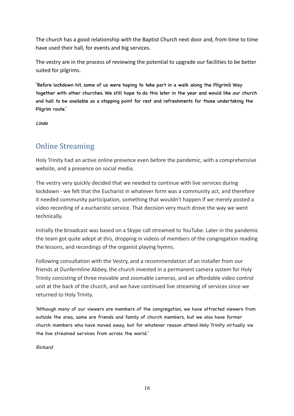The church has a good relationship with the Baptist Church next door and, from time to time have used their hall, for events and big services.

The vestry are in the process of reviewing the potential to upgrade our facilities to be better suited for pilgrims.

'Before lockdown hit, some of us were hoping to take part in a walk along the Pilgrim's Way together with other churches. We still hope to do this later in the year and would like our church and hall to be available as a stopping point for rest and refreshments for those undertaking the Pilgrim route.'

Linda

# **Online Streaming**

Holy Trinity had an active online presence even before the pandemic, with a comprehensive website, and a presence on social media.

The vestry very quickly decided that we needed to continue with live services during lockdown - we felt that the Eucharist in whatever form was a community act, and therefore it needed community participation, something that wouldn't happen if we merely posted a video recording of a eucharistic service. That decision very much drove the way we went technically.

Initially the broadcast was based on a Skype call streamed to YouTube. Later in the pandemic the team got quite adept at this, dropping in videos of members of the congregation reading the lessons, and recordings of the organist playing hymns.

Following consultation with the Vestry, and a recommendation of an installer from our friends at Dunfermline Abbey, the church invested in a permanent camera system for Holy Trinity consisting of three movable and zoomable cameras, and an affordable video control unit at the back of the church, and we have continued live streaming of services since we returned to Holy Trinity.

'Although many of our viewers are members of the congregation, we have attracted viewers from outside the area, some are friends and family of church members, but we also have former church members who have moved away, but for whatever reason attend Holy Trinity virtually via the live streamed services from across the world.'

Richard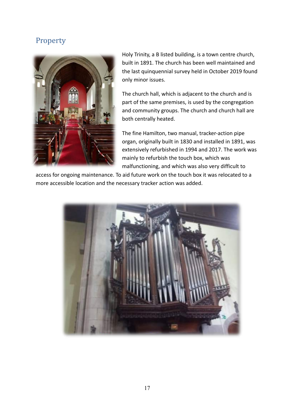# Property



Holy Trinity, a B listed building, is a town centre church, built in 1891. The church has been well maintained and the last quinquennial survey held in October 2019 found only minor issues.

The church hall, which is adjacent to the church and is part of the same premises, is used by the congregation and community groups. The church and church hall are both centrally heated.

The fine Hamilton, two manual, tracker-action pipe organ, originally built in 1830 and installed in 1891, was extensively refurbished in 1994 and 2017. The work was mainly to refurbish the touch box, which was malfunctioning, and which was also very difficult to

access for ongoing maintenance. To aid future work on the touch box it was relocated to a more accessible location and the necessary tracker action was added.

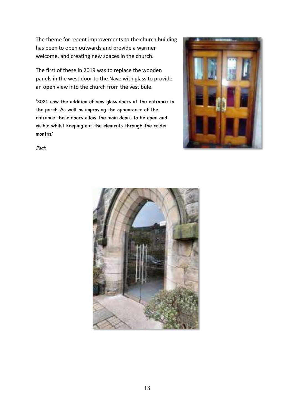The theme for recent improvements to the church building has been to open outwards and provide a warmer welcome, and creating new spaces in the church.

The first of these in 2019 was to replace the wooden panels in the west door to the Nave with glass to provide an open view into the church from the vestibule.

'2021 saw the addition of new glass doors at the entrance to the porch. As well as improving the appearance of the entrance these doors allow the main doors to be open and visible whilst keeping out the elements through the colder months.'



Jack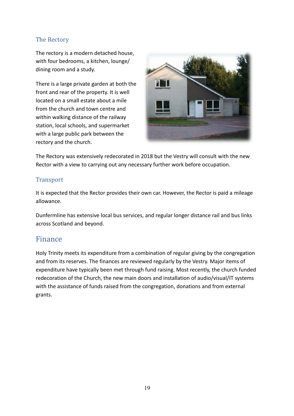## The Rectory

The rectory is a modern detached house, with four bedrooms, a kitchen, lounge/ dining room and a study.

There is a large private garden at both the front and rear of the property. It is well located on a small estate about a mile from the church and town centre and within walking distance of the railway station, local schools, and supermarket with a large public park between the rectory and the church.



The Rectory was extensively redecorated in 2018 but the Vestry will consult with the new Rector with a view to carrying out any necessary further work before occupation.

### **Transport**

It is expected that the Rector provides their own car. However, the Rector is paid a mileage allowance.

Dunfermline has extensive local bus services, and regular longer distance rail and bus links across Scotland and beyond.

# Finance

Holy Trinity meets its expenditure from a combination of regular giving by the congregation and from its reserves. The finances are reviewed regularly by the Vestry. Major items of expenditure have typically been met through fund raising. Most recently, the church funded redecoration of the Church, the new main doors and installation of audio/visual/IT systems with the assistance of funds raised from the congregation, donations and from external grants.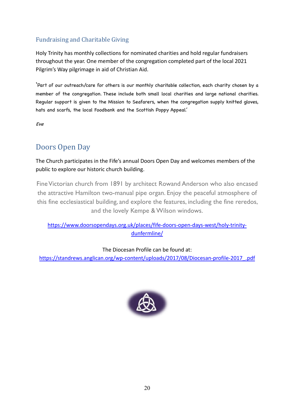# Fundraising and Charitable Giving

Holy Trinity has monthly collections for nominated charities and hold regular fundraisers throughout the year. One member of the congregation completed part of the local 2021 Pilgrim's Way pilgrimage in aid of Christian Aid.

'Part of our outreach/care for others is our monthly charitable collection, each charity chosen by a member of the congregation. These include both small local charities and large national charities. Regular support is given to the Mission to Seafarers, when the congregation supply knitted gloves, hats and scarfs, the local Foodbank and the Scottish Poppy Appeal.'

Eve

# Doors Open Day

The Church participates in the Fife's annual Doors Open Day and welcomes members of the public to explore our historic church building.

Fine Victorian church from 1891 by architect Rowand Anderson who also encased the attractive Hamilton two-manual pipe organ. Enjoy the peaceful atmosphere of this fine ecclesiastical building, and explore the features, including the fine reredos, and the lovely Kempe & Wilson windows.

https://www.doorsopendays.org.uk/places/fife-doors-open-days-west/holy-trinitydunfermline/

### The Diocesan Profile can be found at:

https://standrews.anglican.org/wp-content/uploads/2017/08/Diocesan-profile-2017\_.pdf